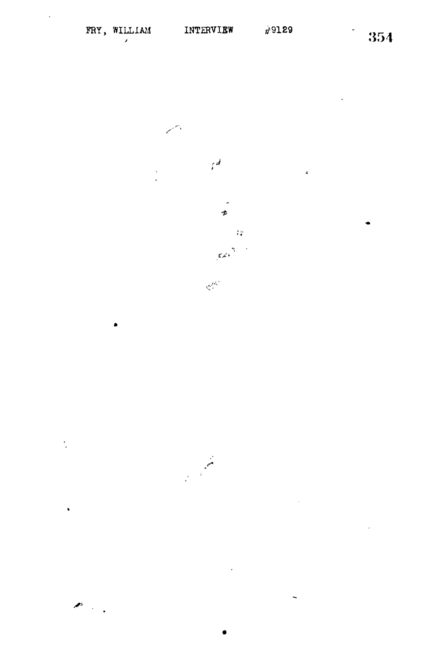$\ddot{\phantom{0}}$ 

 $\downarrow$ 

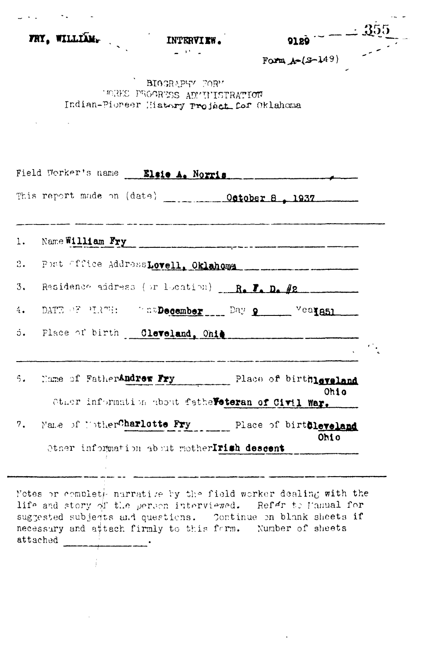|    | FRY, WILLIAM.                                            | INTERVIEW.<br>$-32 - 1$<br><b>BIOGRAPHY FORM</b><br>MORE PROGRESS ADMITISTRATION | 9129<br>Form $A-(S-149)$                                                                                                  |  |
|----|----------------------------------------------------------|----------------------------------------------------------------------------------|---------------------------------------------------------------------------------------------------------------------------|--|
|    |                                                          |                                                                                  |                                                                                                                           |  |
|    |                                                          | Indian-Pioreer History Project for Oklahoma                                      |                                                                                                                           |  |
|    | Field Worker's name Elsie A. Norris                      |                                                                                  |                                                                                                                           |  |
|    | This report made on (date) _____________October 8 , 1937 |                                                                                  |                                                                                                                           |  |
|    | 1. Name William Fry                                      |                                                                                  | .<br>Se protes <u>ta pre</u> sidente della contrata del 1920 a la contrata del contrapolare del contento di Marino di Sal |  |
|    | 2. Post fffice AddressLovell, Oklahoma                   |                                                                                  |                                                                                                                           |  |
| 3. | Residence address (or location) __ R. T. D. #2           |                                                                                  |                                                                                                                           |  |
| 4. | DATE OF MIRTH: CREDecember Day 9 Vealest                 |                                                                                  |                                                                                                                           |  |
|    | 5. Place of birth Cleveland, Ohie                        |                                                                                  |                                                                                                                           |  |
|    | 5. Hame of FatherAndrew Fry Place of birthleveland       |                                                                                  | Ohio                                                                                                                      |  |
|    |                                                          | Other information about fathe Feteran of Civil War.                              |                                                                                                                           |  |
|    | 7. Make of l'otherCharlotte Fry Place of birttleveland   | Other information about motherIrish descent                                      | Ohio                                                                                                                      |  |

Notes or complet<sub>f</sub>- nurrative by the field worker dealing with the lif<sup>o</sup> and story of the person interviewed. Ref<sup>dr</sup> to famual for suggested subjects and questions. Continue on blank sheets if necessary and attach firmly to this form. Number of sheets attached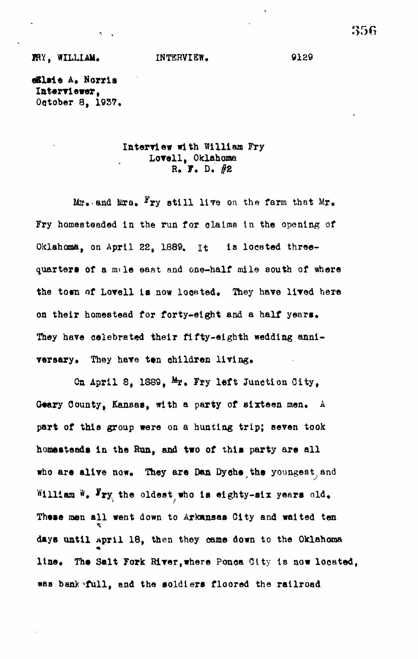**eBlsi e A« Norris Interviewer, October 8, 1937.**

 $\mathbf{A}$  and  $\mathbf{A}$ 

# **Interview with William Fry Lovell, Oklahoma R. F. D.** *#Z*

M<sub>I</sub>. and Mrs. <sup>F</sup>ry still live on the farm that Mr. **Fry homesteaded in the run for olaIma la the opening of Oklahoma, on April 22, 1889. it is located threequarters of a mile east and one-half mile south of where** the town of Lovell is now located. They have lived here **on their homestead for forty-eight and a half years.** They have celebrated their fifty-eighth wedding anni**versary. They have tsn children living,**

**Oa April 8, 188S, %• ?jy left Junction City,** Geary County, Kansas, with a party of sixteen men. A **part of this group were on a hunting trip; seven took homesteads In the Run, and two of this party are all** who are alive now. They are Dan Dyche the youngest and William W. Fry the oldest who is eighty-six years old. **These men all went down to Arkansas City and waited ten days until April 18, then they came down to the Oklahoma** line. The Salt Fork River, where Ponca City is now located, **was bank^full, and the soldiers floored the railroad**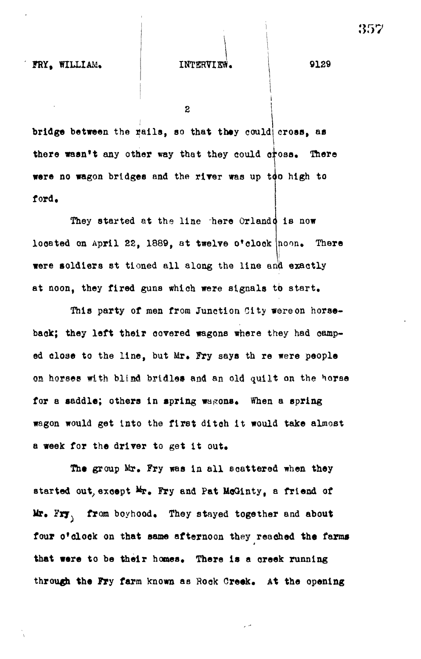## **FRY, WILLIAM, INTERVIEW. 9129**

 $\overline{2}$ 

**bridge between the tails, so that they could cross, aa** there wasn't any other way that they could cross. There **were no wagon bridges and the rlrer was up tpo high to ford.**

**They started at the line there Orlando is now** located on April 22, 1889, at twelve o'clock hoon. There **were soldiers st tioned all along the line amjl exactly at noon, they fired guns which were signals to start.**

**This party of men from Junction City were on horseback; they left their covered wagons where they had camped close to the line, but Mr, Fry says th re were people on horses with blind bridles and an old quilt on the horse** for a saddle; others in spring wagons. When a spring **wagon would get into the first ditoh it would take almost a week for the driver to get it out.**

**The group Mr, Fry was in all scattered when they** started out, except  $M_{\text{F}}$ . Fry and Pat McGinty, a friend of **Mr, Fry. from boyhood. They stayed together and about** four o'clock on that same afternoon they reached the farms **that were to be their homes. There is a oreek running through the Fry farm known as Rook Creek, At the opening**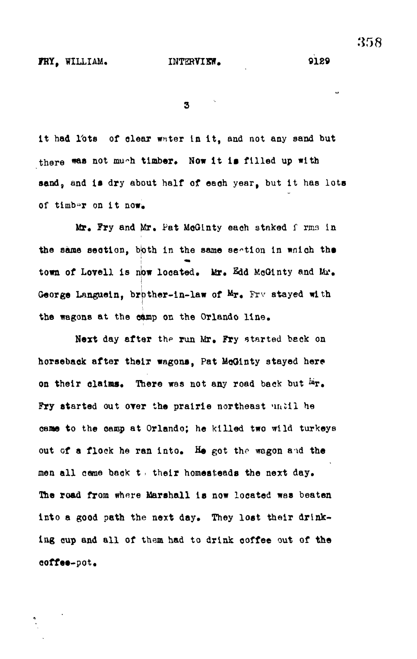9129

 $\overline{\mathbf{3}}$ 

**It had Tots of clear water In It , and not any sand but** there was not mu~h timber. Now it is filled up with sand, and is dry about half of each year, but it has lots **of timb»r on i t now\***

Mr. Fry and Mr. Pat McGinty each staked f rms in **the same section , bjoth in the same section in wnloh the** town of Lovell is now located. Mr. Edd McGinty and Mr. **George Languein, brpther-in-law of Mr, Frv stayed with the wagons at the c^mp on the Orlando line .**

Next day after the run Mr. Fry started back on horseback after their wagons, Pat McGinty stayed here on their claims. There was not any road back but  $\dot{r}$ . Fry started out over the prairie northeast 'intil he came to the camp at Orlando; he killed two wild turkeys **out of a flock he ran into . He got the wagon and the men al l came back t > thei r homesteads the next day.** The road from where Marshall is now located was beaten into a good path the next day. They lost their drinking cup and all of them had to drink coffee out of the **coffee-pot.**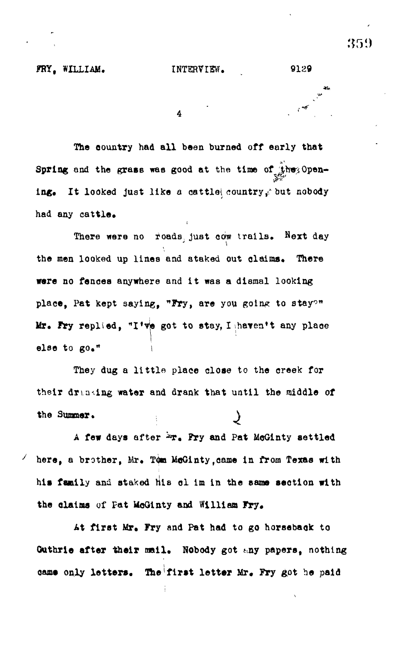,.\* •

 $\overline{4}$ 

**The eountry had all been burned off early that** Spring and the grass was good at the time of the Opening. It looked just like a cattle country, but nobody had any cattle.

**There were no roads, just cow trails, Next day the men looked up lines and staked out claims. There were no fenoea anywhere and it was a dismal looking** place, Pat kept saying, "Fry, are you going to stay?" Mr. Fry replied, "I've got to stay, I haven't any place else to go."

**They dug a little place close to the creek for their drinking water and drank that until the middle of the Summer. )**

A few days after  $2x$ . Fry and Pat McGinty settled here, a brother, Mr. Tom McGinty, came in from Texas with **his family and staked hie ol im in the same section with the claims of Fat McOinty and William Fry.**

At first Mr. Fry and Pat had to go horseback to Guthrie after their mail. Nobody got any papers, nothing **cams only letters. The first lettsr Mr. Fry &ot he paid**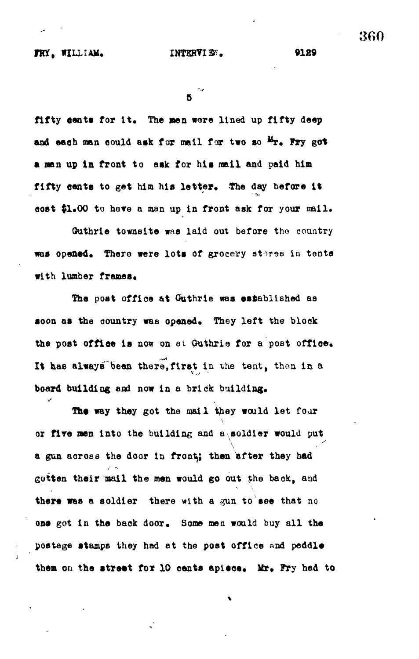fifty cents for it. The men were lined up fifty deep and each man could ask for mail for two so <sup>Mr</sup>. Fry got **a nan up In front to ask for his nail and paid him** fifty cents to get him his letter. The day before it cost \$1.00 to have a man up in front ask for your mail.

**Guthrie towneite was laid out before the country** was opened. There were lots of grocery stores in tents with lumber frames.

**The post office at Guthrie was established as** soon as the country was opened. They left the block the post office is now on at Outhrie for a post office. It has always been there, first in the tent, then in a board building and now in a brick building.

The way they got the mail they would let four or five men into the building and a soldier would put **\ a gun across the door in fronty then after they had gotten their mail the men would go out** *the* **baok, and there was a soldier there with a gun to see that no** one got in the back door. Some men would buy all the postage stamps they had at the post office and peddle them on the street for 10 cents apiece. Mr. Fry had to 360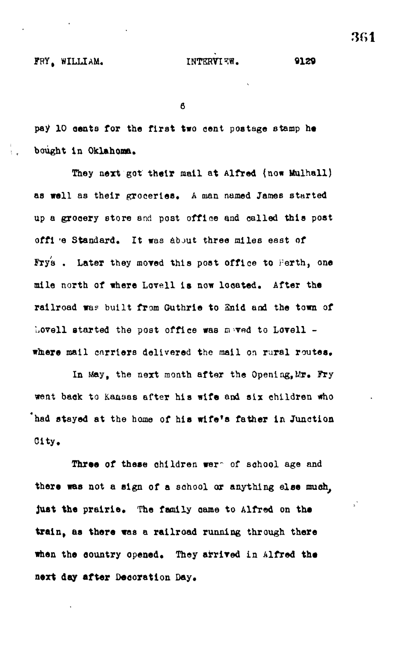6

pay 10 cents for the first two cent postage stamp he **bought In Oklahoma.**

They next got their mail at Alfred (now Mulhall) **as troll as their groceries, A man named James started up a grooery store and post office and called this post offi -e Standard. It was about three miles east of** Frys. Later they moved this post office to Perth, one **mile north of where Lovell is now located. After the railroad wa? built from Guthrie to Snid and the town of** Lovell started the post office was maved to Lovell **whiere mail carriers delivered the mail on rural routes.**

**In May, the next month after the Opening,Mr. Fry went back to Kansas after his wife and six children who "had stayed at the home of his wife's father in Junction City.**

Three of these children wer<sup>or</sup> of school age and **there was not a sign of a school or anything else much, just the prairie. The family aame to Alfred on ths train, as there was a railroad running through there when the oountry opeaad. They arrived in Alfred tha next day after Decoration Day.**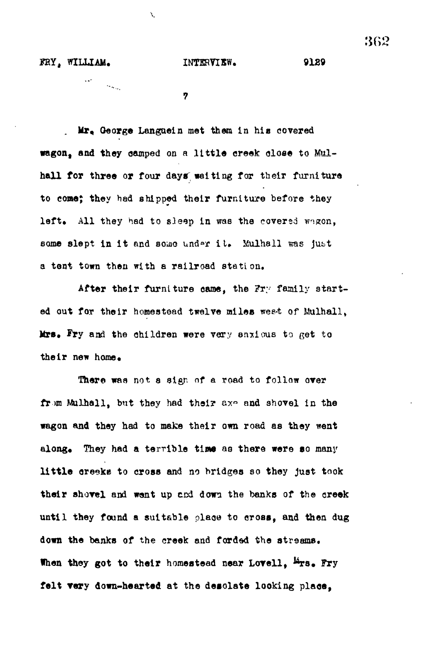$\mathcal{L}_{\mathcal{L}_{\mathcal{M}_{\mathcal{M}_{\mathcal{M}}}}}$ 

9129

 $\overline{r}$ 

 $\mathcal{L}$ 

**. Mr, Qeorg© Languetn met them In his covered wagon, and they oamped on a little creek close to Kul**hall for three or four days waiting for their furniture **to cone; they had shipped their furniture hefore they** left. All they had to sleep in was the covered wngon, some slept in it and some under it. Mulhall was just **a tent town then with a railroad station.**

After their furniture came, the Fry family started out for their homestead twelve miles weet of Mulhall, **Mrs. Fry and the children were very anxious to get to** their new home.

**There was not s sign of a road to follow over** from Mulhall, but they had their ax<sup>o</sup> and shovel in the **wagon and they had to make their own road as they went** along. They had a terrible time as there were so many **little oreeke to cross and no bridges so they Just took** their shovel and went up and down the banks of the creek **until they found a suitable place to cross, and then dug** down the banks of the creek and forded the streams. When they got to their homestead near Lovell, <sup>Mors</sup>. Fry **felt very down-haarted at the desolate looking place,**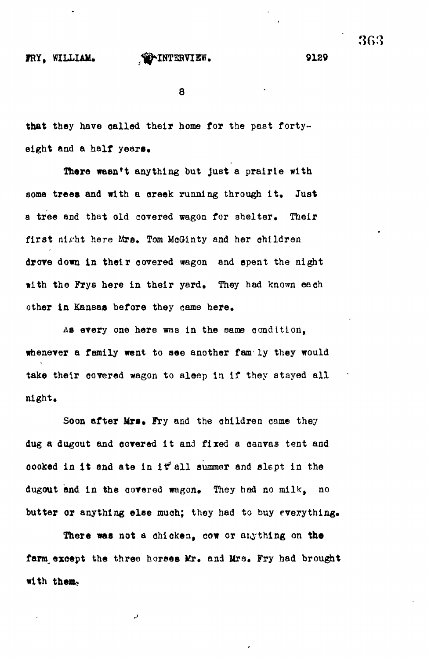# **IRY, WILLUM\* ^^INTKRVIEW. 9129**

**8**

**that they have called their home for the past forty**eight and a half years.

**There wasn't anything but just a prairie with** some trees and with a creek running through it. Just **a tree and that old covered wagon for shelter. Their** first ni*ght* here Mrs. Tom McGinty and her children **drove down In their covered wagon and spent the night with the Frys here in their yard. They had known each other in Kansas before they came here.**

**As every one here was in the same condition, whenever a family went to see another fam ly they would take their covered wagon to sleep in if they stayed all night.**

**Soon after Mrs, Pry and the children came they dug a dugout and covered it and fixed a canvas tent and oooked in it and ate in itf\* all summer and slept in the** dugout and in the covered wagon. They had no milk, no butter or anything else much; they had to buy everything.

**There was not a chicken, cow or anything on the** farm except the three horses Mr. and Mrs. Fry had brought with them.

D

3G3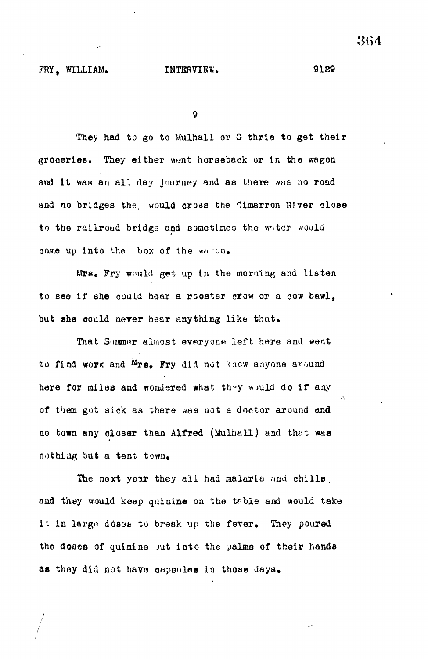9

They had to go to Mulhall or G thrie to get their groceries. They either went horseback or in the wagon and it was an all day journey and as there was no road and no bridges the. would cross the Cimarron River close to the railroad bridge and sometimes the whter would come up into the box of the waron.

Mrs. Fry would get up in the morning and listen to see if she could hear a rooster crow or a cow bawl, but she could never hear anything like that.

That Summer almost everyone left here and went to find work and  $M_{\text{TS}_0}$ . Fry did not know anyone around here for miles and wondered what they would do if any of them got sick as there was not a doctor around and no town any closer than Alfred (Mulhall) and that was nothing but a tent town.

The next year they all had malaria and chills. and they would keep quinine on the table and would take it in large doses to break up the fever. They poured the doses of quinine but into the palms of their hands as they did not have capsules in those days.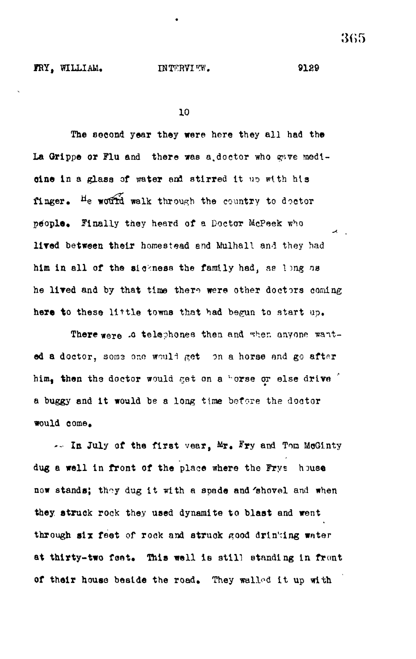FRY, WILLIAM. INTERVIEW. 9129

10

The second year they were here they all had the La Grippe or Flu and there was a doctor who gave modioine in a glass of water and stirred it up with his finger. He would walk through the country to doctor people. Finally they heard of a Doctor McPeek who lived between their homestead and Mulhall and they had him in all of the sickness the family had, as long ns he lived and by that time there were other doctors coming here to these little towns that had begun to start up.

There were .0 telephones then and when anyone wanted a doctor, some one would get on a horse and go after him. then the doctor would get on a "orse or else drive" a buggy and It would be a long time before the doator would come,

 $\leftarrow$  In July of the first vear,  $Mx$ . Fry and Tom McGinty dug a well in front of the place where the Frys house now stands; they dug it with a spade and 'shovel and when they, struck rock they used dynamite to blast and went through six feet of rock and struck good drinking water at thirty-two feet. This well is still standing in front of their house beside the road. They walled it up with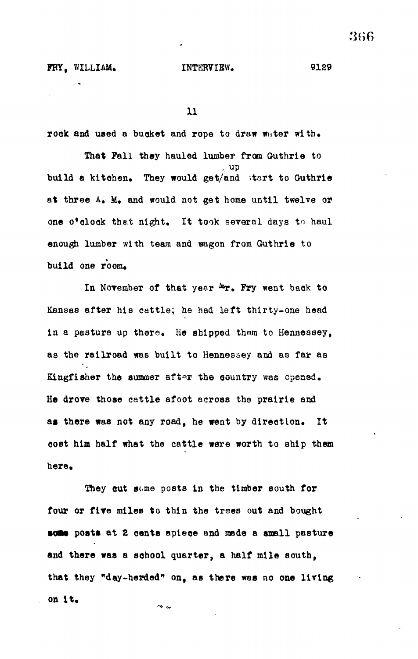**11**

rock and used a bucket and rope to draw water with.

**That Fall they hauled lumber from Guthrie to** up **build a kitehen. They would get/and ;tart to Guthrie at three A, M» and would not get home until twelve or one o\*clock that night. It took several days to haul enough lumber with team and wagon from Guthrie to** build one room.

In November of that yeer  $^{\Delta x}$ . Fry went back to **Kansaa after his cattle; he had left thirty-one head in a pasture up there. He shipped them to Hennessey, as the railroad was built to Hennessey and as far as** Kingfisher the summer after the country was opened. He drove those cattle afoot across the prairie and **at there was not any road, he went by direction. It cost him half what the cattle were worth to ship them** here.

**They out seme posts in the timber south for four or fire miles to thin the trees out and bought** some posts at 2 cents apiece and made a small pasture **and there was a school quarter, a half mile south, that they "day-herded" on, as there was no one living on it.**یہ مہ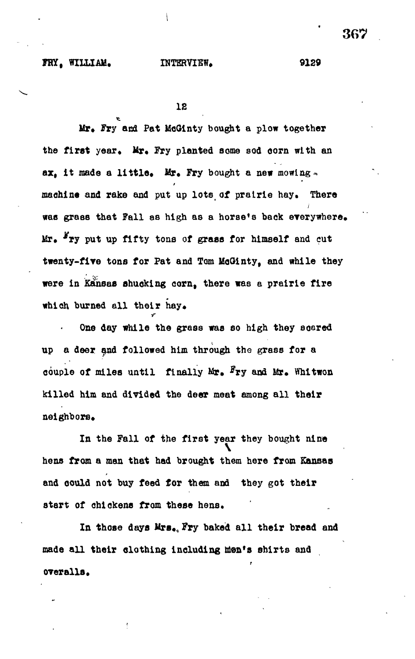## FRY. WILLIAM. INTERVIEW. 9129

**IS**

**Mr, Fry and Pat McGinty bought a plow together** the first year. Mr. Fry planted some sod corn with an **ax, It made a little, Mr, Fry bought a new mowing-\* machine and rake and put up lots of prairie hay. There was grass that Fall a8 high as a horse's back everywhere. Mr, \*ry put up fifty tons of graas for himself and cut twenty-fire tons for Pat and Tom MoOinty, and while they were in Kansas shucking corn, there was a prairie fire which burned all their hay,**

**One day while the grass was so high they soared up a deer and followed him through tho grass for a** couple of miles until finally Mr. Fry and Mr. Whitwon **killed him and divided the deer meat among all their neighbors.**

•r

**In the Fall of the first year they bought nine hens from a man that had brought them here from Kansas and could not buy feed for them and they got their** start of chickens from these hens.

**In those days Mrs. Fry baked all their bread and made all their clothing including Wen's shirts and overalia.**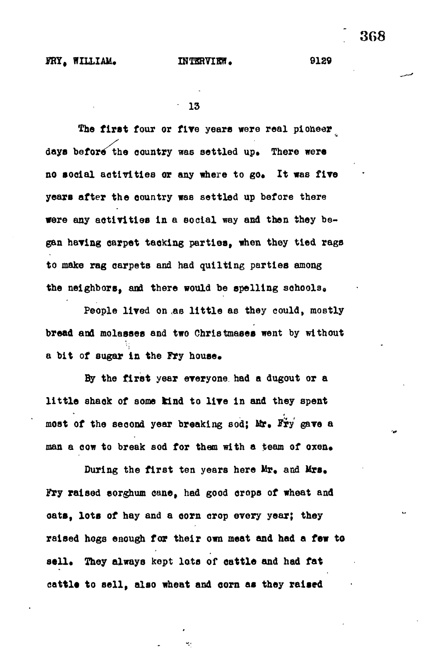**The first four or flye years were real pioneer** days before the country was settled up. There were no social activities or any where to go. It was five **years after the eountry was settled up before there were any activities in a social way and then they be**gan having carpet tacking parties, when they tied rags **to make rag carpets and had quilting parties among the neighbors, and there would be spelling schools,,**

**People lived on as little as they could, mostly bread and molasses and two Christmeses went by without** a bit of sugar in the Fry house.

**By the first year everyone, had a dugout or a little ahaok of some kind to lire in and they spent** most of the second year breaking sod; Mr. Fry gave a man a cow to break sod for them with a team of oxen.

During the first ten years here Mr. and Mrs. **Fry raised sorghum cane, had good crops of wheat and oats, lots of hay and a corn crop every year; they raised hogs enough far their own meat and had a few to** sell. They always kept lots of cattle and had fat **cattl\* to sell, also wheat and corn as they raised**

٧.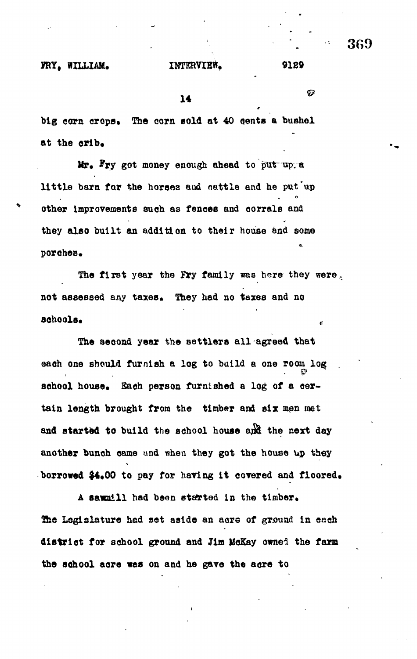**X4 1999 1999 1999 1999 1999** 

big corn crops. The corn sold at 40 cents a bushel **at the orib,**

 $Mr_*$  Fry got money enough ahead to put up. a little barn far the horses aud nattle and he put up **other Improvements such as fences and corrals and** they also built an addition to their house and some **they also built an addition to their house and some**

**The first year the Fry family was here they were., not assessed any taxes\* They had no taxes and no**

The second year the settlers all agreed that school house. Each person furnished a log of a certain length brought from the timber and six men met and started to build the school house and the next day another bunch came and when they got the house up they **another bunch came nnd when they got the house up they**

**Thft Legislature had set aside an acre of ground In each**

**the school acre was on and he gave the acre to**

**borrowed \$4\*00 to pay for having It covered and floored\***

**• \ 3G9**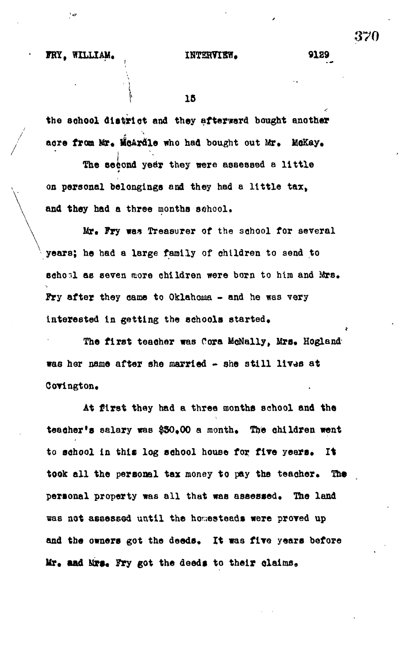$^{\star}$  ce

' r --

 $15$ 

**the school district and they afterword bought another acre from Mr, HoArdle who had bought out Mr. MoKay,**

The second year they were assessed a little **on personal belongings and they had a little tax,** and they had a three months school.

**Mr. Fry was Treasurer of the school for several years; he had a large family of children to send to seho-.l as seven more children were born to him and Mrs, Pry after they came to Oklahoma - and he was very interested In getting the schools started.**

The first teacher was Cora McNally, Mrs. Hogland **was her name after she married - she still 11V%JS at CoYlngton.**

**At first they had a three months school and the teadher's salary was \$30.00 a month. The children went to school in this log school house for five years. It took all the personal tax money to pay the teacher. The personal property was all that was assessed. The land was not assessed until the homesteads were proved up and the owners got the deads. It was five years before** Mr. and Mrs. Fry got the deeds to their claims.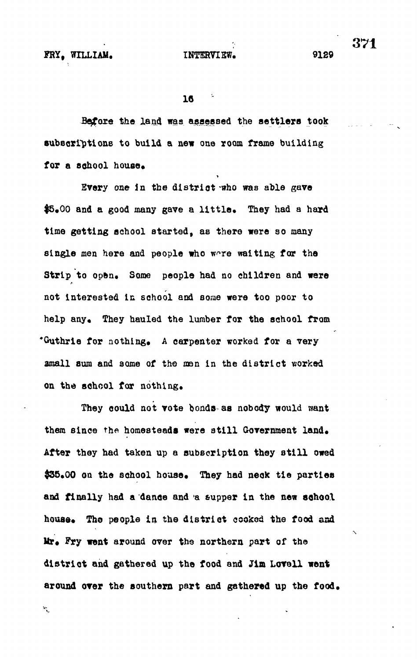$\mathcal{R}_{\mathbf{q}}$ 

**15 '-**

**Before the land was assessed the settlers took subscriptions to build a new one room frame building** for a school house.

**Every one in the district-who was able gave** \$5.00 and a good many gave a little. They had a hard **time getting school started, as there were so many single men here and people who w^re waiting for the** Strip to open. Some people had no children and were **not interested in school and some were too poor to** help any. They hauled the lumber for the school from **•Guthrie for nothing\* A carpenter worked for a very amall sum and some of the men in the district worked** on the school for nothing.

**They could not vote bonds-as nobody would want** them since the homesteads were still Government land. **After they had taken up a subscription they still owed** \$35.00 on the school house. They had neck tie parties **and finally had a dance and a supper in the new school** house. The people in the district cooked the food and Mr. Fry went around over the northern part of the **district and gathered up the food and Jim Loveli went** around over the southern part and gathered up the food. 371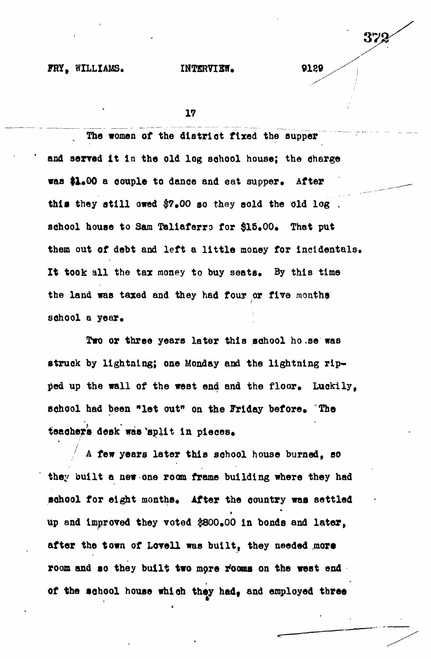# **FRY, WILLIAMS, INTERVIEW. 9139**

**17**

**The women of the dlatrlot fixed the aupper and served it In the old log school house; the oharge was \$1.00 a couple to dance and eat supper. After** this they still owed \$7.00 so they sold the old log . **school house to Sam Taliaferro for \$15.00, That put them out of debt and left a little money for Incidentals.** It took all the tax money to buy seats. By this time **the land was taxed and they had four or five months** school a year.

**Two or three years later this school ho.se was struck by lightning; one Monday and the lightning rip**ped up the wall of the west end and the floor. Luckily, school had been "let out" on the Friday before. The teachers desk was 'split in pieces.

**A few years later this school house burned, so they built a new one room frame building where they had** school for eight months. After the country was settled **up and Improved they voted \$800,00 in bonds and later, after the town of Lovell was built, they needed more** room and so they built two more rooms on the west end of the school house which they had, and employed three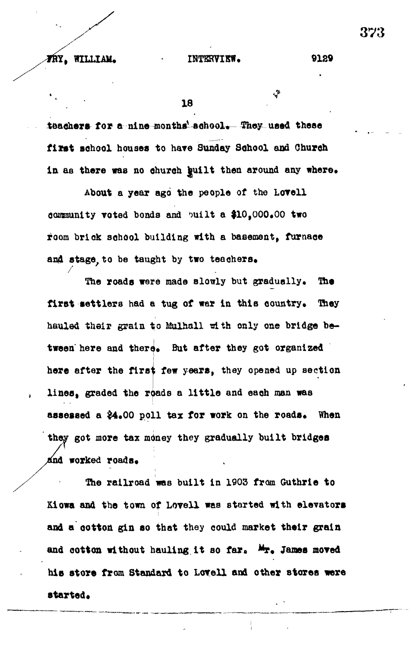چۍ

**18 18 18 18** 

teachers for a nine-months' school. They used these **first school houses to have Sunday School and Church** in as there was no church guilt then around any where.

**About a year ago the people of the Lovell community voted bonds and ^uilt a \$10,000\*00 two room brick school building with a basement, furnace** and stage to be taught by two teachers.

The roads were made slowly but gradually. The first settlers had a tug of war in this country. They **hauled their grain to Mulhail rith only one bridge be**tween here and there. But after they got organized **here after the first few years, they opened up section** lines, graded the roads a little and each man was assessed a  $24.00$  poll tax for work on the roads. When **they got more tax money they gradually built bridges** *and worked roads.* 

**The railroad was built in 1903 from Guthrle to Kiowa and the town of Lovell was started with elevators and a ootton gin so that they could market their grain** and cotton without hauling it so far. Mr. James moved **his store from Standard to Lovell and other stores were** started.